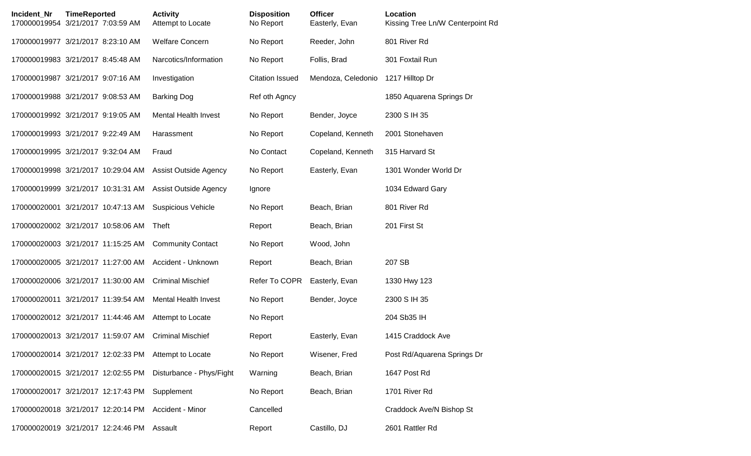| Incident Nr | <b>TimeReported</b><br>170000019954 3/21/2017 7:03:59 AM | <b>Activity</b><br>Attempt to Locate | <b>Disposition</b><br>No Report | <b>Officer</b><br>Easterly, Evan | Location<br>Kissing Tree Ln/W Centerpoint Rd |
|-------------|----------------------------------------------------------|--------------------------------------|---------------------------------|----------------------------------|----------------------------------------------|
|             | 170000019977 3/21/2017 8:23:10 AM                        | <b>Welfare Concern</b>               | No Report                       | Reeder, John                     | 801 River Rd                                 |
|             | 170000019983 3/21/2017 8:45:48 AM                        | Narcotics/Information                | No Report                       | Follis, Brad                     | 301 Foxtail Run                              |
|             | 170000019987 3/21/2017 9:07:16 AM                        | Investigation                        | <b>Citation Issued</b>          | Mendoza, Celedonio               | 1217 Hilltop Dr                              |
|             | 170000019988 3/21/2017 9:08:53 AM                        | <b>Barking Dog</b>                   | Ref oth Agncy                   |                                  | 1850 Aquarena Springs Dr                     |
|             | 170000019992 3/21/2017 9:19:05 AM                        | <b>Mental Health Invest</b>          | No Report                       | Bender, Joyce                    | 2300 S IH 35                                 |
|             | 170000019993 3/21/2017 9:22:49 AM                        | Harassment                           | No Report                       | Copeland, Kenneth                | 2001 Stonehaven                              |
|             | 170000019995 3/21/2017 9:32:04 AM                        | Fraud                                | No Contact                      | Copeland, Kenneth                | 315 Harvard St                               |
|             | 170000019998 3/21/2017 10:29:04 AM                       | <b>Assist Outside Agency</b>         | No Report                       | Easterly, Evan                   | 1301 Wonder World Dr                         |
|             | 170000019999 3/21/2017 10:31:31 AM                       | <b>Assist Outside Agency</b>         | Ignore                          |                                  | 1034 Edward Gary                             |
|             | 170000020001 3/21/2017 10:47:13 AM                       | <b>Suspicious Vehicle</b>            | No Report                       | Beach, Brian                     | 801 River Rd                                 |
|             | 170000020002 3/21/2017 10:58:06 AM                       | Theft                                | Report                          | Beach, Brian                     | 201 First St                                 |
|             | 170000020003 3/21/2017 11:15:25 AM                       | <b>Community Contact</b>             | No Report                       | Wood, John                       |                                              |
|             | 170000020005 3/21/2017 11:27:00 AM                       | Accident - Unknown                   | Report                          | Beach, Brian                     | 207 SB                                       |
|             | 170000020006 3/21/2017 11:30:00 AM                       | <b>Criminal Mischief</b>             | Refer To COPR                   | Easterly, Evan                   | 1330 Hwy 123                                 |
|             | 170000020011 3/21/2017 11:39:54 AM                       | <b>Mental Health Invest</b>          | No Report                       | Bender, Joyce                    | 2300 S IH 35                                 |
|             | 170000020012 3/21/2017 11:44:46 AM                       | Attempt to Locate                    | No Report                       |                                  | 204 Sb35 IH                                  |
|             | 170000020013 3/21/2017 11:59:07 AM                       | <b>Criminal Mischief</b>             | Report                          | Easterly, Evan                   | 1415 Craddock Ave                            |
|             | 170000020014 3/21/2017 12:02:33 PM                       | Attempt to Locate                    | No Report                       | Wisener, Fred                    | Post Rd/Aquarena Springs Dr                  |
|             | 170000020015 3/21/2017 12:02:55 PM                       | Disturbance - Phys/Fight             | Warning                         | Beach, Brian                     | 1647 Post Rd                                 |
|             | 170000020017 3/21/2017 12:17:43 PM                       | Supplement                           | No Report                       | Beach, Brian                     | 1701 River Rd                                |
|             | 170000020018 3/21/2017 12:20:14 PM                       | Accident - Minor                     | Cancelled                       |                                  | Craddock Ave/N Bishop St                     |
|             | 170000020019 3/21/2017 12:24:46 PM                       | Assault                              | Report                          | Castillo, DJ                     | 2601 Rattler Rd                              |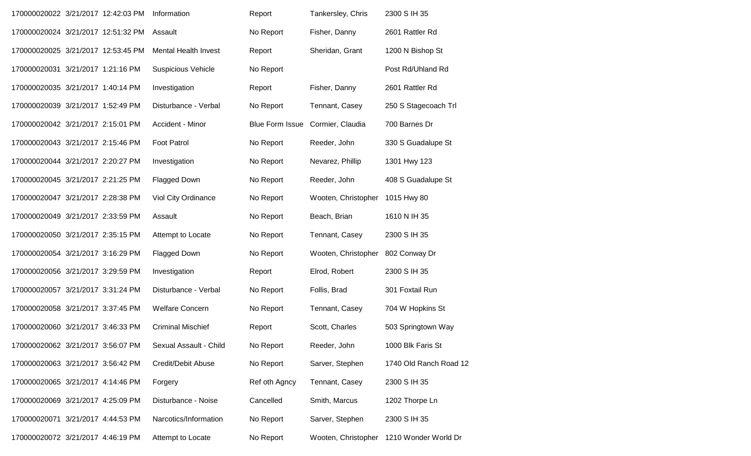| 170000020022 3/21/2017 12:42:03 PM |  | Information                 | Report                 | Tankersley, Chris   | 2300 S IH 35                             |
|------------------------------------|--|-----------------------------|------------------------|---------------------|------------------------------------------|
| 170000020024 3/21/2017 12:51:32 PM |  | Assault                     | No Report              | Fisher, Danny       | 2601 Rattler Rd                          |
| 170000020025 3/21/2017 12:53:45 PM |  | <b>Mental Health Invest</b> | Report                 | Sheridan, Grant     | 1200 N Bishop St                         |
| 170000020031 3/21/2017 1:21:16 PM  |  | <b>Suspicious Vehicle</b>   | No Report              |                     | Post Rd/Uhland Rd                        |
| 170000020035 3/21/2017 1:40:14 PM  |  | Investigation               | Report                 | Fisher, Danny       | 2601 Rattler Rd                          |
| 170000020039 3/21/2017 1:52:49 PM  |  | Disturbance - Verbal        | No Report              | Tennant, Casey      | 250 S Stagecoach Trl                     |
| 170000020042 3/21/2017 2:15:01 PM  |  | Accident - Minor            | <b>Blue Form Issue</b> | Cormier, Claudia    | 700 Barnes Dr                            |
| 170000020043 3/21/2017 2:15:46 PM  |  | <b>Foot Patrol</b>          | No Report              | Reeder, John        | 330 S Guadalupe St                       |
| 170000020044 3/21/2017 2:20:27 PM  |  | Investigation               | No Report              | Nevarez, Phillip    | 1301 Hwy 123                             |
| 170000020045 3/21/2017 2:21:25 PM  |  | <b>Flagged Down</b>         | No Report              | Reeder, John        | 408 S Guadalupe St                       |
| 170000020047 3/21/2017 2:28:38 PM  |  | Viol City Ordinance         | No Report              | Wooten, Christopher | 1015 Hwy 80                              |
| 170000020049 3/21/2017 2:33:59 PM  |  | Assault                     | No Report              | Beach, Brian        | 1610 N IH 35                             |
| 170000020050 3/21/2017 2:35:15 PM  |  | Attempt to Locate           | No Report              | Tennant, Casey      | 2300 S IH 35                             |
| 170000020054 3/21/2017 3:16:29 PM  |  | <b>Flagged Down</b>         | No Report              | Wooten, Christopher | 802 Conway Dr                            |
| 170000020056 3/21/2017 3:29:59 PM  |  | Investigation               | Report                 | Elrod, Robert       | 2300 S IH 35                             |
| 170000020057 3/21/2017 3:31:24 PM  |  | Disturbance - Verbal        | No Report              | Follis, Brad        | 301 Foxtail Run                          |
| 170000020058 3/21/2017 3:37:45 PM  |  | <b>Welfare Concern</b>      | No Report              | Tennant, Casey      | 704 W Hopkins St                         |
| 170000020060 3/21/2017 3:46:33 PM  |  | <b>Criminal Mischief</b>    | Report                 | Scott, Charles      | 503 Springtown Way                       |
| 170000020062 3/21/2017 3:56:07 PM  |  | Sexual Assault - Child      | No Report              | Reeder, John        | 1000 Blk Faris St                        |
| 170000020063 3/21/2017 3:56:42 PM  |  | Credit/Debit Abuse          | No Report              | Sarver, Stephen     | 1740 Old Ranch Road 12                   |
| 170000020065 3/21/2017 4:14:46 PM  |  | Forgery                     | Ref oth Agncy          | Tennant, Casey      | 2300 S IH 35                             |
| 170000020069 3/21/2017 4:25:09 PM  |  | Disturbance - Noise         | Cancelled              | Smith, Marcus       | 1202 Thorpe Ln                           |
| 170000020071 3/21/2017 4:44:53 PM  |  | Narcotics/Information       | No Report              | Sarver, Stephen     | 2300 S IH 35                             |
| 170000020072 3/21/2017 4:46:19 PM  |  | Attempt to Locate           | No Report              |                     | Wooten, Christopher 1210 Wonder World Dr |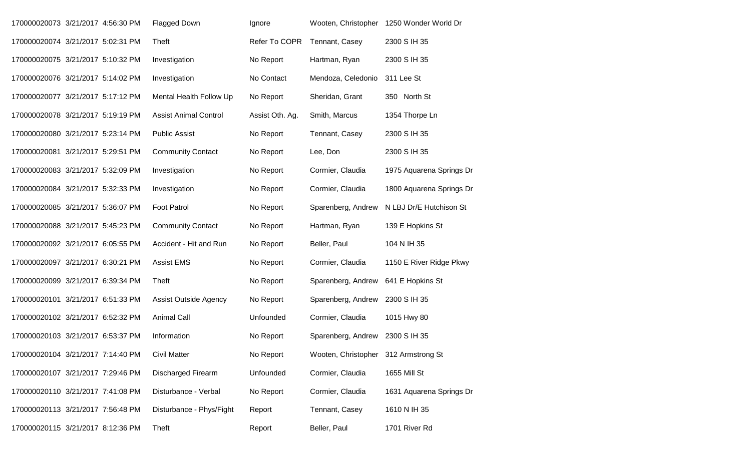| 170000020073 3/21/2017 4:56:30 PM |  | <b>Flagged Down</b>          | Ignore          |                                      | Wooten, Christopher 1250 Wonder World Dr |
|-----------------------------------|--|------------------------------|-----------------|--------------------------------------|------------------------------------------|
| 170000020074 3/21/2017 5:02:31 PM |  | Theft                        | Refer To COPR   | Tennant, Casey                       | 2300 S IH 35                             |
| 170000020075 3/21/2017 5:10:32 PM |  | Investigation                | No Report       | Hartman, Ryan                        | 2300 S IH 35                             |
| 170000020076 3/21/2017 5:14:02 PM |  | Investigation                | No Contact      | Mendoza, Celedonio                   | 311 Lee St                               |
| 170000020077 3/21/2017 5:17:12 PM |  | Mental Health Follow Up      | No Report       | Sheridan, Grant                      | 350 North St                             |
| 170000020078 3/21/2017 5:19:19 PM |  | <b>Assist Animal Control</b> | Assist Oth. Ag. | Smith, Marcus                        | 1354 Thorpe Ln                           |
| 170000020080 3/21/2017 5:23:14 PM |  | <b>Public Assist</b>         | No Report       | Tennant, Casey                       | 2300 S IH 35                             |
| 170000020081 3/21/2017 5:29:51 PM |  | <b>Community Contact</b>     | No Report       | Lee, Don                             | 2300 S IH 35                             |
| 170000020083 3/21/2017 5:32:09 PM |  | Investigation                | No Report       | Cormier, Claudia                     | 1975 Aquarena Springs Dr                 |
| 170000020084 3/21/2017 5:32:33 PM |  | Investigation                | No Report       | Cormier, Claudia                     | 1800 Aquarena Springs Dr                 |
| 170000020085 3/21/2017 5:36:07 PM |  | Foot Patrol                  | No Report       | Sparenberg, Andrew                   | N LBJ Dr/E Hutchison St                  |
| 170000020088 3/21/2017 5:45:23 PM |  | <b>Community Contact</b>     | No Report       | Hartman, Ryan                        | 139 E Hopkins St                         |
| 170000020092 3/21/2017 6:05:55 PM |  | Accident - Hit and Run       | No Report       | Beller, Paul                         | 104 N IH 35                              |
| 170000020097 3/21/2017 6:30:21 PM |  | <b>Assist EMS</b>            | No Report       | Cormier, Claudia                     | 1150 E River Ridge Pkwy                  |
| 170000020099 3/21/2017 6:39:34 PM |  | Theft                        | No Report       | Sparenberg, Andrew                   | 641 E Hopkins St                         |
| 170000020101 3/21/2017 6:51:33 PM |  | <b>Assist Outside Agency</b> | No Report       | Sparenberg, Andrew                   | 2300 S IH 35                             |
| 170000020102 3/21/2017 6:52:32 PM |  | <b>Animal Call</b>           | Unfounded       | Cormier, Claudia                     | 1015 Hwy 80                              |
| 170000020103 3/21/2017 6:53:37 PM |  | Information                  | No Report       | Sparenberg, Andrew                   | 2300 S IH 35                             |
| 170000020104 3/21/2017 7:14:40 PM |  | <b>Civil Matter</b>          | No Report       | Wooten, Christopher 312 Armstrong St |                                          |
| 170000020107 3/21/2017 7:29:46 PM |  | Discharged Firearm           | Unfounded       | Cormier, Claudia                     | 1655 Mill St                             |
| 170000020110 3/21/2017 7:41:08 PM |  | Disturbance - Verbal         | No Report       | Cormier, Claudia                     | 1631 Aquarena Springs Dr                 |
| 170000020113 3/21/2017 7:56:48 PM |  | Disturbance - Phys/Fight     | Report          | Tennant, Casey                       | 1610 N IH 35                             |
| 170000020115 3/21/2017 8:12:36 PM |  | Theft                        | Report          | Beller, Paul                         | 1701 River Rd                            |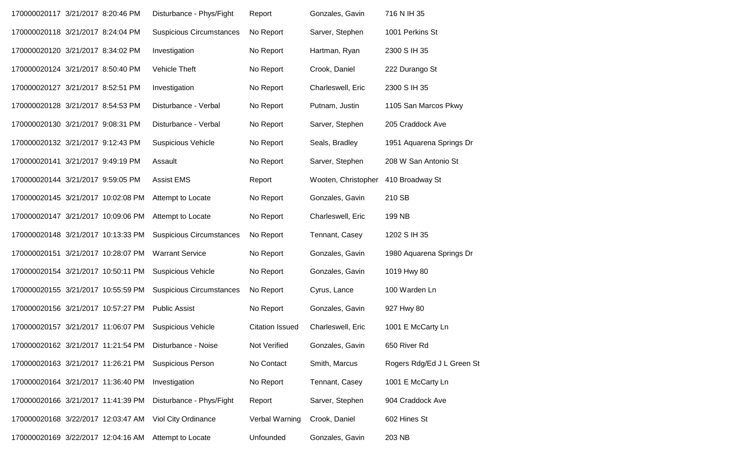| 170000020117 3/21/2017 8:20:46 PM  |  | Disturbance - Phys/Fight        | Report                 | Gonzales, Gavin     | 716 N IH 35                |
|------------------------------------|--|---------------------------------|------------------------|---------------------|----------------------------|
| 170000020118 3/21/2017 8:24:04 PM  |  | <b>Suspicious Circumstances</b> | No Report              | Sarver, Stephen     | 1001 Perkins St            |
| 170000020120 3/21/2017 8:34:02 PM  |  | Investigation                   | No Report              | Hartman, Ryan       | 2300 S IH 35               |
| 170000020124 3/21/2017 8:50:40 PM  |  | Vehicle Theft                   | No Report              | Crook, Daniel       | 222 Durango St             |
| 170000020127 3/21/2017 8:52:51 PM  |  | Investigation                   | No Report              | Charleswell, Eric   | 2300 S IH 35               |
| 170000020128 3/21/2017 8:54:53 PM  |  | Disturbance - Verbal            | No Report              | Putnam, Justin      | 1105 San Marcos Pkwy       |
| 170000020130 3/21/2017 9:08:31 PM  |  | Disturbance - Verbal            | No Report              | Sarver, Stephen     | 205 Craddock Ave           |
| 170000020132 3/21/2017 9:12:43 PM  |  | <b>Suspicious Vehicle</b>       | No Report              | Seals, Bradley      | 1951 Aquarena Springs Dr   |
| 170000020141 3/21/2017 9:49:19 PM  |  | Assault                         | No Report              | Sarver, Stephen     | 208 W San Antonio St       |
| 170000020144 3/21/2017 9:59:05 PM  |  | <b>Assist EMS</b>               | Report                 | Wooten, Christopher | 410 Broadway St            |
| 170000020145 3/21/2017 10:02:08 PM |  | Attempt to Locate               | No Report              | Gonzales, Gavin     | 210 SB                     |
| 170000020147 3/21/2017 10:09:06 PM |  | Attempt to Locate               | No Report              | Charleswell, Eric   | 199 NB                     |
| 170000020148 3/21/2017 10:13:33 PM |  | <b>Suspicious Circumstances</b> | No Report              | Tennant, Casey      | 1202 S IH 35               |
| 170000020151 3/21/2017 10:28:07 PM |  | <b>Warrant Service</b>          | No Report              | Gonzales, Gavin     | 1980 Aquarena Springs Dr   |
| 170000020154 3/21/2017 10:50:11 PM |  | <b>Suspicious Vehicle</b>       | No Report              | Gonzales, Gavin     | 1019 Hwy 80                |
| 170000020155 3/21/2017 10:55:59 PM |  | <b>Suspicious Circumstances</b> | No Report              | Cyrus, Lance        | 100 Warden Ln              |
| 170000020156 3/21/2017 10:57:27 PM |  | <b>Public Assist</b>            | No Report              | Gonzales, Gavin     | 927 Hwy 80                 |
| 170000020157 3/21/2017 11:06:07 PM |  | <b>Suspicious Vehicle</b>       | <b>Citation Issued</b> | Charleswell, Eric   | 1001 E McCarty Ln          |
| 170000020162 3/21/2017 11:21:54 PM |  | Disturbance - Noise             | Not Verified           | Gonzales, Gavin     | 650 River Rd               |
| 170000020163 3/21/2017 11:26:21 PM |  | <b>Suspicious Person</b>        | No Contact             | Smith, Marcus       | Rogers Rdg/Ed J L Green St |
| 170000020164 3/21/2017 11:36:40 PM |  | Investigation                   | No Report              | Tennant, Casey      | 1001 E McCarty Ln          |
| 170000020166 3/21/2017 11:41:39 PM |  | Disturbance - Phys/Fight        | Report                 | Sarver, Stephen     | 904 Craddock Ave           |
| 170000020168 3/22/2017 12:03:47 AM |  | Viol City Ordinance             | Verbal Warning         | Crook, Daniel       | 602 Hines St               |
| 170000020169 3/22/2017 12:04:16 AM |  | Attempt to Locate               | Unfounded              | Gonzales, Gavin     | 203 NB                     |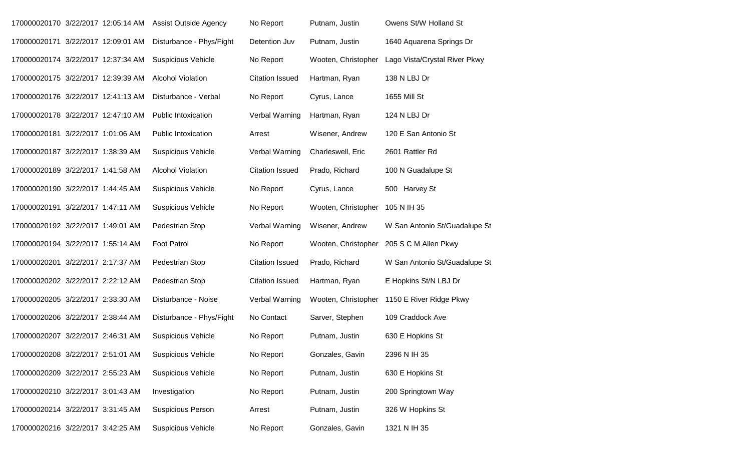| 170000020170 3/22/2017 12:05:14 AM |  | <b>Assist Outside Agency</b> | No Report              | Putnam, Justin      | Owens St/W Holland St         |
|------------------------------------|--|------------------------------|------------------------|---------------------|-------------------------------|
| 170000020171 3/22/2017 12:09:01 AM |  | Disturbance - Phys/Fight     | Detention Juv          | Putnam, Justin      | 1640 Aquarena Springs Dr      |
| 170000020174 3/22/2017 12:37:34 AM |  | <b>Suspicious Vehicle</b>    | No Report              | Wooten, Christopher | Lago Vista/Crystal River Pkwy |
| 170000020175 3/22/2017 12:39:39 AM |  | <b>Alcohol Violation</b>     | <b>Citation Issued</b> | Hartman, Ryan       | 138 N LBJ Dr                  |
| 170000020176 3/22/2017 12:41:13 AM |  | Disturbance - Verbal         | No Report              | Cyrus, Lance        | 1655 Mill St                  |
| 170000020178 3/22/2017 12:47:10 AM |  | <b>Public Intoxication</b>   | Verbal Warning         | Hartman, Ryan       | 124 N LBJ Dr                  |
| 170000020181 3/22/2017 1:01:06 AM  |  | Public Intoxication          | Arrest                 | Wisener, Andrew     | 120 E San Antonio St          |
| 170000020187 3/22/2017 1:38:39 AM  |  | <b>Suspicious Vehicle</b>    | Verbal Warning         | Charleswell, Eric   | 2601 Rattler Rd               |
| 170000020189 3/22/2017 1:41:58 AM  |  | <b>Alcohol Violation</b>     | <b>Citation Issued</b> | Prado, Richard      | 100 N Guadalupe St            |
| 170000020190 3/22/2017 1:44:45 AM  |  | <b>Suspicious Vehicle</b>    | No Report              | Cyrus, Lance        | 500 Harvey St                 |
| 170000020191 3/22/2017 1:47:11 AM  |  | <b>Suspicious Vehicle</b>    | No Report              | Wooten, Christopher | 105 N IH 35                   |
| 170000020192 3/22/2017 1:49:01 AM  |  | Pedestrian Stop              | Verbal Warning         | Wisener, Andrew     | W San Antonio St/Guadalupe St |
| 170000020194 3/22/2017 1:55:14 AM  |  | Foot Patrol                  | No Report              | Wooten, Christopher | 205 S C M Allen Pkwy          |
| 170000020201 3/22/2017 2:17:37 AM  |  | Pedestrian Stop              | <b>Citation Issued</b> | Prado, Richard      | W San Antonio St/Guadalupe St |
| 170000020202 3/22/2017 2:22:12 AM  |  | Pedestrian Stop              | <b>Citation Issued</b> | Hartman, Ryan       | E Hopkins St/N LBJ Dr         |
| 170000020205 3/22/2017 2:33:30 AM  |  | Disturbance - Noise          | Verbal Warning         | Wooten, Christopher | 1150 E River Ridge Pkwy       |
| 170000020206 3/22/2017 2:38:44 AM  |  | Disturbance - Phys/Fight     | No Contact             | Sarver, Stephen     | 109 Craddock Ave              |
| 170000020207 3/22/2017 2:46:31 AM  |  | <b>Suspicious Vehicle</b>    | No Report              | Putnam, Justin      | 630 E Hopkins St              |
| 170000020208 3/22/2017 2:51:01 AM  |  | <b>Suspicious Vehicle</b>    | No Report              | Gonzales, Gavin     | 2396 N IH 35                  |
| 170000020209 3/22/2017 2:55:23 AM  |  | <b>Suspicious Vehicle</b>    | No Report              | Putnam, Justin      | 630 E Hopkins St              |
| 170000020210 3/22/2017 3:01:43 AM  |  | Investigation                | No Report              | Putnam, Justin      | 200 Springtown Way            |
| 170000020214 3/22/2017 3:31:45 AM  |  | <b>Suspicious Person</b>     | Arrest                 | Putnam, Justin      | 326 W Hopkins St              |
| 170000020216 3/22/2017 3:42:25 AM  |  | <b>Suspicious Vehicle</b>    | No Report              | Gonzales, Gavin     | 1321 N IH 35                  |